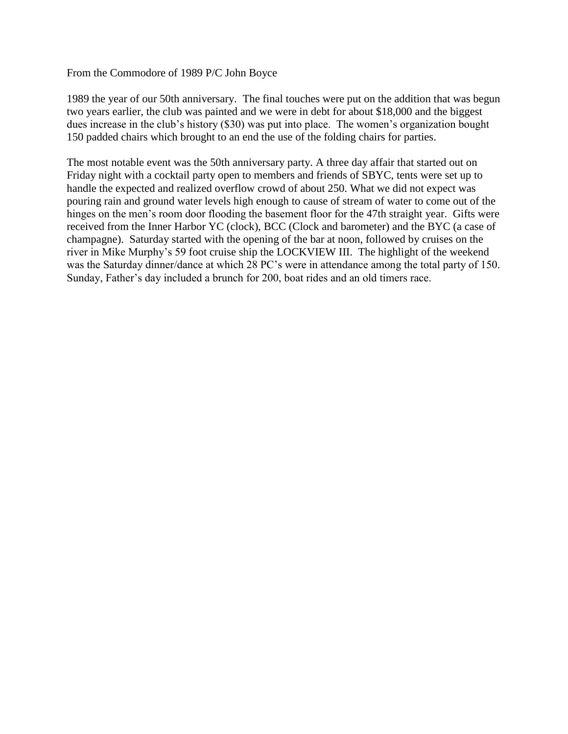From the Commodore of 1989 P/C John Boyce

1989 the year of our 50th anniversary. The final touches were put on the addition that was begun two years earlier, the club was painted and we were in debt for about \$18,000 and the biggest dues increase in the club's history (\$30) was put into place. The women's organization bought 150 padded chairs which brought to an end the use of the folding chairs for parties.

The most notable event was the 50th anniversary party. A three day affair that started out on Friday night with a cocktail party open to members and friends of SBYC, tents were set up to handle the expected and realized overflow crowd of about 250. What we did not expect was pouring rain and ground water levels high enough to cause of stream of water to come out of the hinges on the men's room door flooding the basement floor for the 47th straight year. Gifts were received from the Inner Harbor YC (clock), BCC (Clock and barometer) and the BYC (a case of champagne). Saturday started with the opening of the bar at noon, followed by cruises on the river in Mike Murphy's 59 foot cruise ship the LOCKVIEW III. The highlight of the weekend was the Saturday dinner/dance at which 28 PC's were in attendance among the total party of 150. Sunday, Father's day included a brunch for 200, boat rides and an old timers race.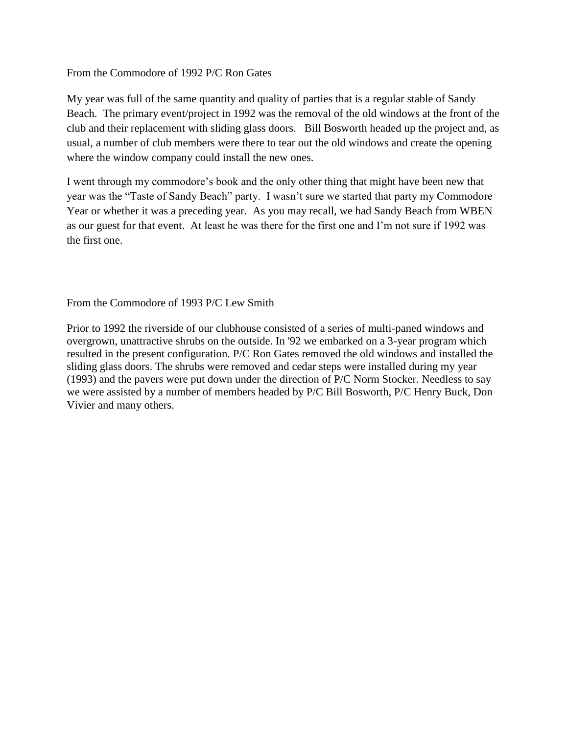From the Commodore of 1992 P/C Ron Gates

My year was full of the same quantity and quality of parties that is a regular stable of Sandy Beach. The primary event/project in 1992 was the removal of the old windows at the front of the club and their replacement with sliding glass doors. Bill Bosworth headed up the project and, as usual, a number of club members were there to tear out the old windows and create the opening where the window company could install the new ones.

I went through my commodore's book and the only other thing that might have been new that year was the "Taste of Sandy Beach" party. I wasn't sure we started that party my Commodore Year or whether it was a preceding year. As you may recall, we had Sandy Beach from WBEN as our guest for that event. At least he was there for the first one and I'm not sure if 1992 was the first one.

From the Commodore of 1993 P/C Lew Smith

Prior to 1992 the riverside of our clubhouse consisted of a series of multi-paned windows and overgrown, unattractive shrubs on the outside. In '92 we embarked on a 3-year program which resulted in the present configuration. P/C Ron Gates removed the old windows and installed the sliding glass doors. The shrubs were removed and cedar steps were installed during my year (1993) and the pavers were put down under the direction of P/C Norm Stocker. Needless to say we were assisted by a number of members headed by P/C Bill Bosworth, P/C Henry Buck, Don Vivier and many others.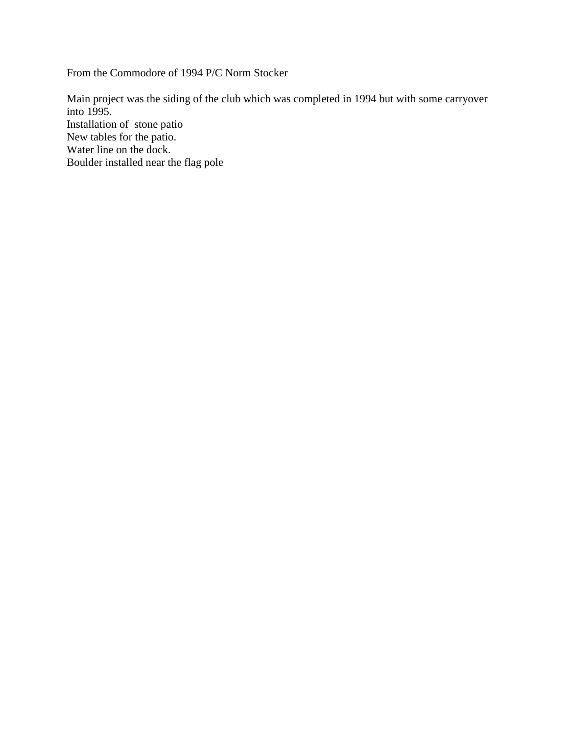From the Commodore of 1994 P/C Norm Stocker

Main project was the siding of the club which was completed in 1994 but with some carryover into 1995. Installation of stone patio New tables for the patio. Water line on the dock. Boulder installed near the flag pole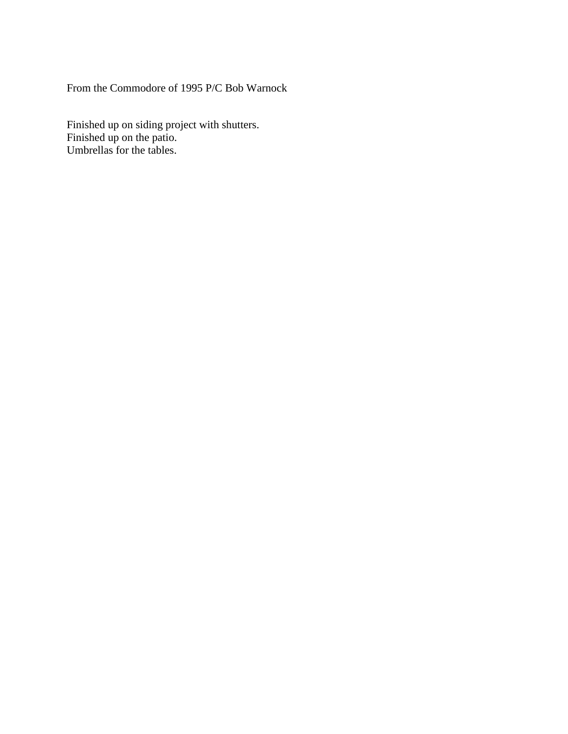From the Commodore of 1995 P/C Bob Warnock

Finished up on siding project with shutters. Finished up on the patio. Umbrellas for the tables.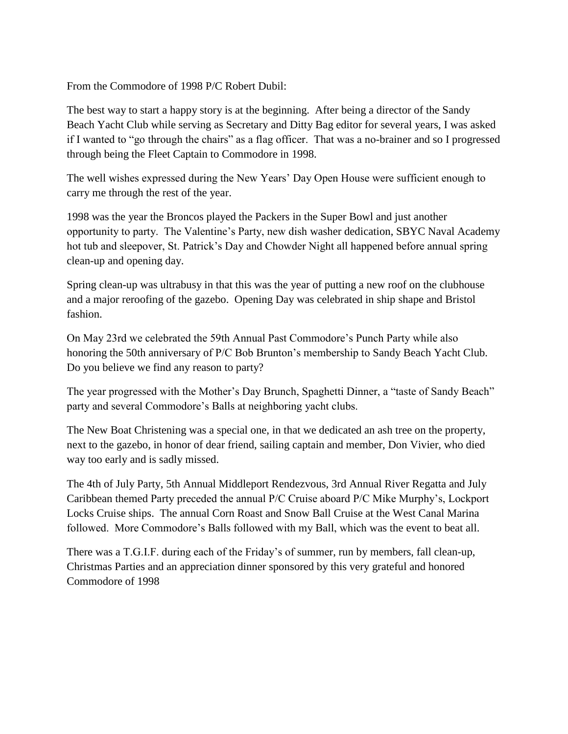From the Commodore of 1998 P/C Robert Dubil:

The best way to start a happy story is at the beginning. After being a director of the Sandy Beach Yacht Club while serving as Secretary and Ditty Bag editor for several years, I was asked if I wanted to "go through the chairs" as a flag officer. That was a no-brainer and so I progressed through being the Fleet Captain to Commodore in 1998.

The well wishes expressed during the New Years' Day Open House were sufficient enough to carry me through the rest of the year.

1998 was the year the Broncos played the Packers in the Super Bowl and just another opportunity to party. The Valentine's Party, new dish washer dedication, SBYC Naval Academy hot tub and sleepover, St. Patrick's Day and Chowder Night all happened before annual spring clean-up and opening day.

Spring clean-up was ultrabusy in that this was the year of putting a new roof on the clubhouse and a major reroofing of the gazebo. Opening Day was celebrated in ship shape and Bristol fashion.

On May 23rd we celebrated the 59th Annual Past Commodore's Punch Party while also honoring the 50th anniversary of P/C Bob Brunton's membership to Sandy Beach Yacht Club. Do you believe we find any reason to party?

The year progressed with the Mother's Day Brunch, Spaghetti Dinner, a "taste of Sandy Beach" party and several Commodore's Balls at neighboring yacht clubs.

The New Boat Christening was a special one, in that we dedicated an ash tree on the property, next to the gazebo, in honor of dear friend, sailing captain and member, Don Vivier, who died way too early and is sadly missed.

The 4th of July Party, 5th Annual Middleport Rendezvous, 3rd Annual River Regatta and July Caribbean themed Party preceded the annual P/C Cruise aboard P/C Mike Murphy's, Lockport Locks Cruise ships. The annual Corn Roast and Snow Ball Cruise at the West Canal Marina followed. More Commodore's Balls followed with my Ball, which was the event to beat all.

There was a T.G.I.F. during each of the Friday's of summer, run by members, fall clean-up, Christmas Parties and an appreciation dinner sponsored by this very grateful and honored Commodore of 1998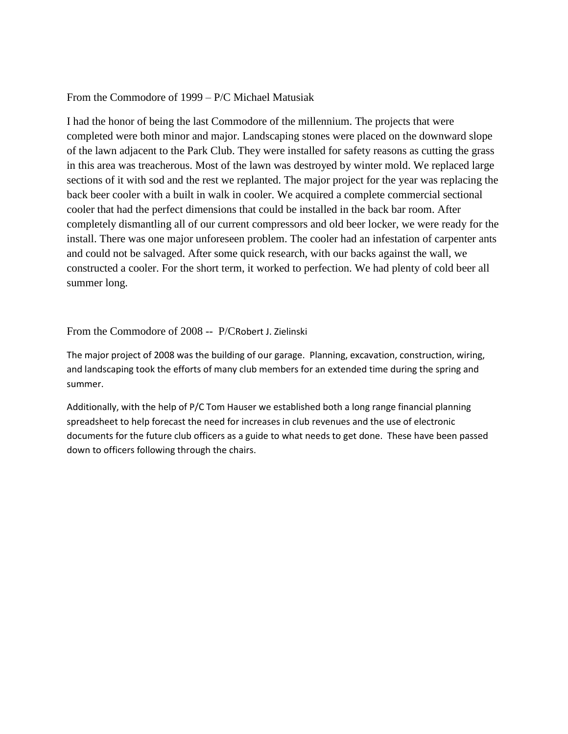## From the Commodore of 1999 – P/C Michael Matusiak

I had the honor of being the last Commodore of the millennium. The projects that were completed were both minor and major. Landscaping stones were placed on the downward slope of the lawn adjacent to the Park Club. They were installed for safety reasons as cutting the grass in this area was treacherous. Most of the lawn was destroyed by winter mold. We replaced large sections of it with sod and the rest we replanted. The major project for the year was replacing the back beer cooler with a built in walk in cooler. We acquired a complete commercial sectional cooler that had the perfect dimensions that could be installed in the back bar room. After completely dismantling all of our current compressors and old beer locker, we were ready for the install. There was one major unforeseen problem. The cooler had an infestation of carpenter ants and could not be salvaged. After some quick research, with our backs against the wall, we constructed a cooler. For the short term, it worked to perfection. We had plenty of cold beer all summer long.

## From the Commodore of 2008 -- P/CRobert J. Zielinski

The major project of 2008 was the building of our garage. Planning, excavation, construction, wiring, and landscaping took the efforts of many club members for an extended time during the spring and summer.

Additionally, with the help of P/C Tom Hauser we established both a long range financial planning spreadsheet to help forecast the need for increases in club revenues and the use of electronic documents for the future club officers as a guide to what needs to get done. These have been passed down to officers following through the chairs.